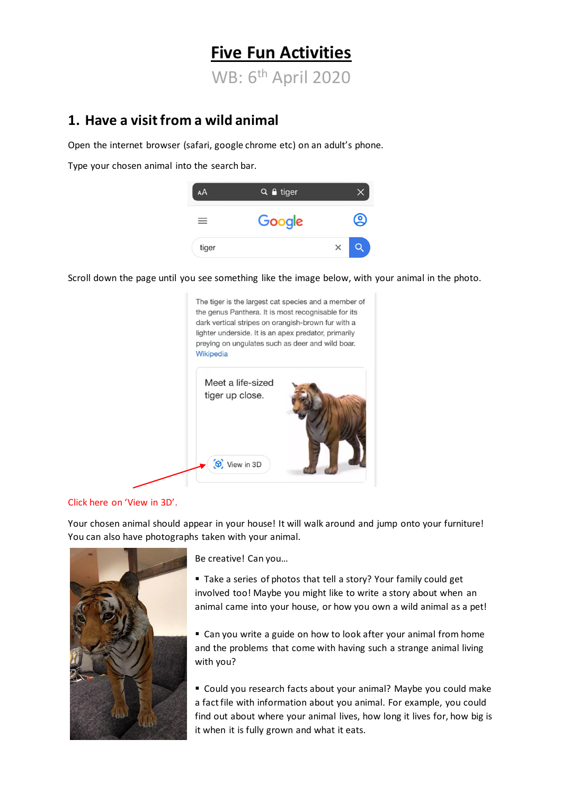# **Five Fun Activities** WB: 6th April 2020

## **1. Have a visit from a wild animal**

Open the internet browser (safari, google chrome etc) on an adult's phone.

Type your chosen animal into the search bar.



Scroll down the page until you see something like the image below, with your animal in the photo.



#### Click here on 'View in 3D'.

Your chosen animal should appear in your house! It will walk around and jump onto your furniture! You can also have photographs taken with your animal.



Be creative! Can you…

■ Take a series of photos that tell a story? Your family could get involved too! Maybe you might like to write a story about when an animal came into your house, or how you own a wild animal as a pet!

■ Can you write a guide on how to look after your animal from home and the problems that come with having such a strange animal living with you?

■ Could you research facts about your animal? Maybe you could make a fact file with information about you animal. For example, you could find out about where your animal lives, how long it lives for, how big is it when it is fully grown and what it eats.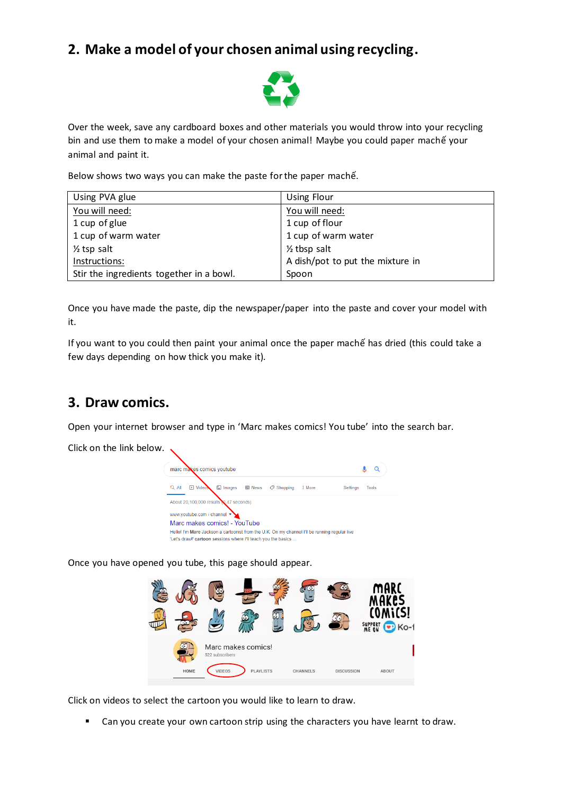# **2. Make a model of your chosen animal using recycling.**



Over the week, save any cardboard boxes and other materials you would throw into your recycling bin and use them to make a model of your chosen animal! Maybe you could paper machế your animal and paint it.

Below shows two ways you can make the paste for the paper machế.

| Using PVA glue                           | Using Flour                      |
|------------------------------------------|----------------------------------|
| You will need:                           | You will need:                   |
| 1 cup of glue                            | 1 cup of flour                   |
| 1 cup of warm water                      | 1 cup of warm water              |
| $\frac{1}{2}$ tsp salt                   | $\frac{1}{2}$ tbsp salt          |
| Instructions:                            | A dish/pot to put the mixture in |
| Stir the ingredients together in a bowl. | Spoon                            |

Once you have made the paste, dip the newspaper/paper into the paste and cover your model with it.

If you want to you could then paint your animal once the paper machế has dried (this could take a few days depending on how thick you make it).

#### **3. Draw comics.**

Open your internet browser and type in 'Marc makes comics! You tube' into the search bar.

Click on the link below.



Once you have opened you tube, this page should appear.



Click on videos to select the cartoon you would like to learn to draw.

■ Can you create your own cartoon strip using the characters you have learnt to draw.